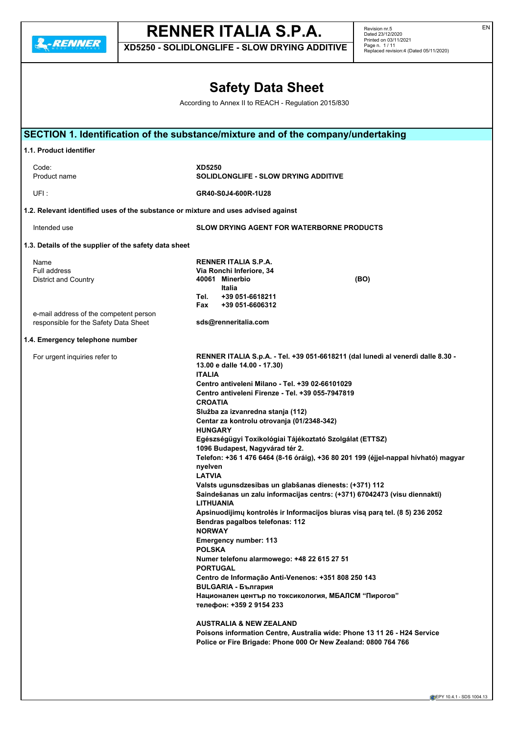**2.**-RENNER

# **RENNER ITALIA S.P.A.**

**XD5250 - SOLIDLONGLIFE - SLOW DRYING ADDITIVE**

Revision nr.5 Dated 23/12/2020 Printed on 03/11/2021 Page n. 1 / 11 Replaced revision:4 (Dated 05/11/2020)

## **Safety Data Sheet**

According to Annex II to REACH - Regulation 2015/830

| 1.1. Product identifier                                                            |                                                                                    |
|------------------------------------------------------------------------------------|------------------------------------------------------------------------------------|
| Code:                                                                              | <b>XD5250</b>                                                                      |
| Product name                                                                       | SOLIDLONGLIFE - SLOW DRYING ADDITIVE                                               |
| UFI:                                                                               | GR40-S0J4-600R-1U28                                                                |
| 1.2. Relevant identified uses of the substance or mixture and uses advised against |                                                                                    |
| Intended use                                                                       | <b>SLOW DRYING AGENT FOR WATERBORNE PRODUCTS</b>                                   |
| 1.3. Details of the supplier of the safety data sheet                              |                                                                                    |
|                                                                                    |                                                                                    |
| Name                                                                               | RENNER ITALIA S.P.A.                                                               |
| <b>Full address</b>                                                                | Via Ronchi Inferiore, 34                                                           |
| <b>District and Country</b>                                                        | 40061 Minerbio<br>(BO)                                                             |
|                                                                                    | Italia                                                                             |
|                                                                                    | +39 051-6618211<br>Tel.                                                            |
|                                                                                    | +39 051-6606312<br>Fax                                                             |
| e-mail address of the competent person                                             |                                                                                    |
| responsible for the Safety Data Sheet                                              | sds@renneritalia.com                                                               |
| 1.4. Emergency telephone number                                                    |                                                                                    |
| For urgent inquiries refer to                                                      | RENNER ITALIA S.p.A. - Tel. +39 051-6618211 (dal lunedì al venerdì dalle 8.30 -    |
|                                                                                    | 13.00 e dalle 14.00 - 17.30)                                                       |
|                                                                                    | <b>ITALIA</b>                                                                      |
|                                                                                    | Centro antiveleni Milano - Tel. +39 02-66101029                                    |
|                                                                                    | Centro antiveleni Firenze - Tel. +39 055-7947819                                   |
|                                                                                    | <b>CROATIA</b>                                                                     |
|                                                                                    | Služba za izvanredna stanja (112)                                                  |
|                                                                                    | Centar za kontrolu otrovanja (01/2348-342)                                         |
|                                                                                    | <b>HUNGARY</b>                                                                     |
|                                                                                    |                                                                                    |
|                                                                                    | Egészségügyi Toxikológiai Tájékoztató Szolgálat (ETTSZ)                            |
|                                                                                    | 1096 Budapest, Nagyvárad tér 2.                                                    |
|                                                                                    | Telefon: +36 1 476 6464 (8-16 óráig), +36 80 201 199 (éjjel-nappal hívható) magyar |
|                                                                                    | nyelven                                                                            |
|                                                                                    | <b>LATVIA</b>                                                                      |
|                                                                                    | Valsts ugunsdzesibas un glabšanas dienests: (+371) 112                             |
|                                                                                    | Saindešanas un zalu informacijas centrs: (+371) 67042473 (visu diennakti)          |
|                                                                                    | <b>LITHUANIA</b>                                                                   |
|                                                                                    | Apsinuodijimų kontrolės ir Informacijos biuras visą parą tel. (8 5) 236 2052       |
|                                                                                    | Bendras pagalbos telefonas: 112                                                    |
|                                                                                    | <b>NORWAY</b>                                                                      |
|                                                                                    | <b>Emergency number: 113</b>                                                       |
|                                                                                    | <b>POLSKA</b>                                                                      |
|                                                                                    | Numer telefonu alarmowego: +48 22 615 27 51                                        |
|                                                                                    | <b>PORTUGAL</b>                                                                    |
|                                                                                    | Centro de Informação Anti-Venenos: +351 808 250 143                                |
|                                                                                    |                                                                                    |
|                                                                                    | <b>BULGARIA - България</b>                                                         |
|                                                                                    | Национален център по токсикология, МБАЛСМ "Пирогов"                                |
|                                                                                    | телефон: +359 2 9154 233                                                           |
|                                                                                    | <b>AUSTRALIA &amp; NEW ZEALAND</b>                                                 |
|                                                                                    | Poisons information Centre, Australia wide: Phone 13 11 26 - H24 Service           |
|                                                                                    |                                                                                    |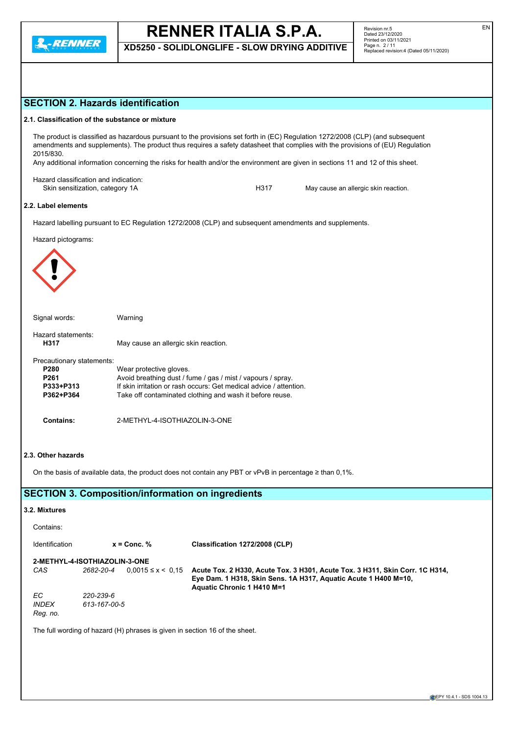

**XD5250 - SOLIDLONGLIFE - SLOW DRYING ADDITIVE**

| <b>SECTION 2. Hazards identification</b>                                                                                                                                                                                                                                                                                                                                                                          |                                      |                                                                                                              |  |                                                                                                                                                 |  |  |
|-------------------------------------------------------------------------------------------------------------------------------------------------------------------------------------------------------------------------------------------------------------------------------------------------------------------------------------------------------------------------------------------------------------------|--------------------------------------|--------------------------------------------------------------------------------------------------------------|--|-------------------------------------------------------------------------------------------------------------------------------------------------|--|--|
| 2.1. Classification of the substance or mixture                                                                                                                                                                                                                                                                                                                                                                   |                                      |                                                                                                              |  |                                                                                                                                                 |  |  |
| The product is classified as hazardous pursuant to the provisions set forth in (EC) Regulation 1272/2008 (CLP) (and subsequent<br>amendments and supplements). The product thus requires a safety datasheet that complies with the provisions of (EU) Regulation<br>2015/830.<br>Any additional information concerning the risks for health and/or the environment are given in sections 11 and 12 of this sheet. |                                      |                                                                                                              |  |                                                                                                                                                 |  |  |
| Hazard classification and indication:<br>Skin sensitization, category 1A                                                                                                                                                                                                                                                                                                                                          |                                      | H317                                                                                                         |  | May cause an allergic skin reaction.                                                                                                            |  |  |
| 2.2. Label elements                                                                                                                                                                                                                                                                                                                                                                                               |                                      |                                                                                                              |  |                                                                                                                                                 |  |  |
|                                                                                                                                                                                                                                                                                                                                                                                                                   |                                      | Hazard labelling pursuant to EC Regulation 1272/2008 (CLP) and subsequent amendments and supplements.        |  |                                                                                                                                                 |  |  |
| Hazard pictograms:                                                                                                                                                                                                                                                                                                                                                                                                |                                      |                                                                                                              |  |                                                                                                                                                 |  |  |
| Signal words:                                                                                                                                                                                                                                                                                                                                                                                                     | Warning                              |                                                                                                              |  |                                                                                                                                                 |  |  |
| Hazard statements:<br>H317                                                                                                                                                                                                                                                                                                                                                                                        | May cause an allergic skin reaction. |                                                                                                              |  |                                                                                                                                                 |  |  |
| Precautionary statements:<br>P280<br>Wear protective gloves.<br>Avoid breathing dust / fume / gas / mist / vapours / spray.<br>P261<br>If skin irritation or rash occurs: Get medical advice / attention.<br>P333+P313<br>P362+P364<br>Take off contaminated clothing and wash it before reuse.                                                                                                                   |                                      |                                                                                                              |  |                                                                                                                                                 |  |  |
| <b>Contains:</b>                                                                                                                                                                                                                                                                                                                                                                                                  | 2-METHYL-4-ISOTHIAZOLIN-3-ONE        |                                                                                                              |  |                                                                                                                                                 |  |  |
| 2.3. Other hazards                                                                                                                                                                                                                                                                                                                                                                                                |                                      | On the basis of available data, the product does not contain any PBT or vPvB in percentage $\geq$ than 0,1%. |  |                                                                                                                                                 |  |  |
| <b>SECTION 3. Composition/information on ingredients</b>                                                                                                                                                                                                                                                                                                                                                          |                                      |                                                                                                              |  |                                                                                                                                                 |  |  |
| 3.2. Mixtures                                                                                                                                                                                                                                                                                                                                                                                                     |                                      |                                                                                                              |  |                                                                                                                                                 |  |  |
| Contains:                                                                                                                                                                                                                                                                                                                                                                                                         |                                      |                                                                                                              |  |                                                                                                                                                 |  |  |
| Identification                                                                                                                                                                                                                                                                                                                                                                                                    | $x =$ Conc. %                        | Classification 1272/2008 (CLP)                                                                               |  |                                                                                                                                                 |  |  |
| <b>2-METHYL-4-ISOTHIAZOLIN-3-ONE</b><br>2682-20-4<br>CAS                                                                                                                                                                                                                                                                                                                                                          | $0.0015 \le x \le 0.15$              | Aquatic Chronic 1 H410 M=1                                                                                   |  | Acute Tox. 2 H330, Acute Tox. 3 H301, Acute Tox. 3 H311, Skin Corr. 1C H314,<br>Eye Dam. 1 H318, Skin Sens. 1A H317, Aquatic Acute 1 H400 M=10, |  |  |
| EC<br>220-239-6<br><b>INDEX</b><br>613-167-00-5<br>Reg. no.                                                                                                                                                                                                                                                                                                                                                       |                                      |                                                                                                              |  |                                                                                                                                                 |  |  |
| The full wording of hazard (H) phrases is given in section 16 of the sheet.                                                                                                                                                                                                                                                                                                                                       |                                      |                                                                                                              |  |                                                                                                                                                 |  |  |
|                                                                                                                                                                                                                                                                                                                                                                                                                   |                                      |                                                                                                              |  |                                                                                                                                                 |  |  |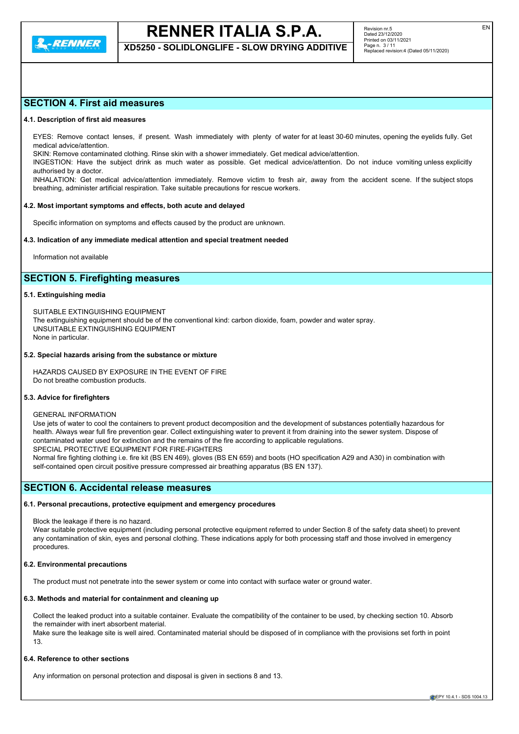

**XD5250 - SOLIDLONGLIFE - SLOW DRYING ADDITIVE**

### **SECTION 4. First aid measures**

#### **4.1. Description of first aid measures**

EYES: Remove contact lenses, if present. Wash immediately with plenty of water for at least 30-60 minutes, opening the eyelids fully. Get medical advice/attention.

SKIN: Remove contaminated clothing. Rinse skin with a shower immediately. Get medical advice/attention.

INGESTION: Have the subject drink as much water as possible. Get medical advice/attention. Do not induce vomiting unless explicitly authorised by a doctor.

INHALATION: Get medical advice/attention immediately. Remove victim to fresh air, away from the accident scene. If the subject stops breathing, administer artificial respiration. Take suitable precautions for rescue workers.

#### **4.2. Most important symptoms and effects, both acute and delayed**

Specific information on symptoms and effects caused by the product are unknown.

#### **4.3. Indication of any immediate medical attention and special treatment needed**

Information not available

## **SECTION 5. Firefighting measures**

#### **5.1. Extinguishing media**

SUITABLE EXTINGUISHING EQUIPMENT The extinguishing equipment should be of the conventional kind: carbon dioxide, foam, powder and water spray. UNSUITABLE EXTINGUISHING EQUIPMENT None in particular.

#### **5.2. Special hazards arising from the substance or mixture**

HAZARDS CAUSED BY EXPOSURE IN THE EVENT OF FIRE Do not breathe combustion products.

#### **5.3. Advice for firefighters**

#### GENERAL INFORMATION

Use jets of water to cool the containers to prevent product decomposition and the development of substances potentially hazardous for health. Always wear full fire prevention gear. Collect extinguishing water to prevent it from draining into the sewer system. Dispose of contaminated water used for extinction and the remains of the fire according to applicable regulations. SPECIAL PROTECTIVE EQUIPMENT FOR FIRE-FIGHTERS Normal fire fighting clothing i.e. fire kit (BS EN 469), gloves (BS EN 659) and boots (HO specification A29 and A30) in combination with

self-contained open circuit positive pressure compressed air breathing apparatus (BS EN 137).

#### **SECTION 6. Accidental release measures**

#### **6.1. Personal precautions, protective equipment and emergency procedures**

Block the leakage if there is no hazard.

Wear suitable protective equipment (including personal protective equipment referred to under Section 8 of the safety data sheet) to prevent any contamination of skin, eyes and personal clothing. These indications apply for both processing staff and those involved in emergency procedures.

#### **6.2. Environmental precautions**

The product must not penetrate into the sewer system or come into contact with surface water or ground water.

### **6.3. Methods and material for containment and cleaning up**

Collect the leaked product into a suitable container. Evaluate the compatibility of the container to be used, by checking section 10. Absorb the remainder with inert absorbent material.

Make sure the leakage site is well aired. Contaminated material should be disposed of in compliance with the provisions set forth in point 13.

### **6.4. Reference to other sections**

Any information on personal protection and disposal is given in sections 8 and 13.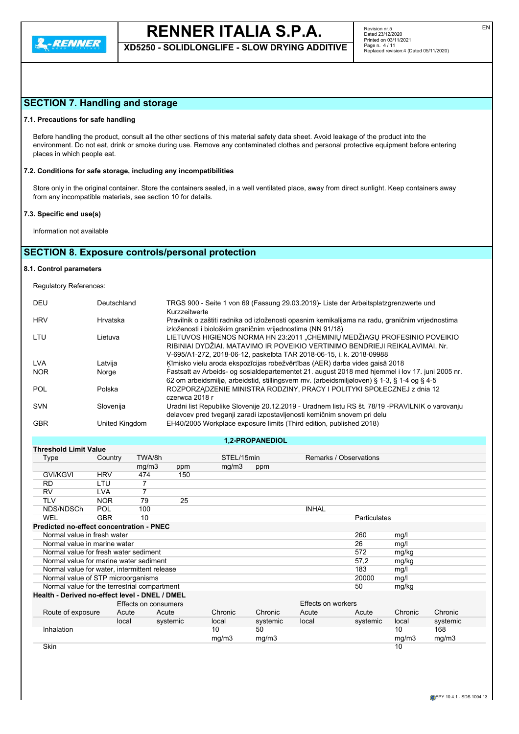**XD5250 - SOLIDLONGLIFE - SLOW DRYING ADDITIVE**

## **SECTION 7. Handling and storage**

#### **7.1. Precautions for safe handling**

Before handling the product, consult all the other sections of this material safety data sheet. Avoid leakage of the product into the environment. Do not eat, drink or smoke during use. Remove any contaminated clothes and personal protective equipment before entering places in which people eat.

#### **7.2. Conditions for safe storage, including any incompatibilities**

Store only in the original container. Store the containers sealed, in a well ventilated place, away from direct sunlight. Keep containers away from any incompatible materials, see section 10 for details.

#### **7.3. Specific end use(s)**

Information not available

## **SECTION 8. Exposure controls/personal protection**

#### **8.1. Control parameters**

Regulatory References:

| DEU        | Deutschland    | TRGS 900 - Seite 1 von 69 (Fassung 29.03.2019)- Liste der Arbeitsplatzgrenzwerte und<br>Kurzzeitwerte                                                                                                                             |
|------------|----------------|-----------------------------------------------------------------------------------------------------------------------------------------------------------------------------------------------------------------------------------|
| <b>HRV</b> | Hrvatska       | Pravilnik o zaštiti radnika od izloženosti opasnim kemikalijama na radu, graničnim vrijednostima<br>izloženosti i biološkim graničnim vrijednostima (NN 91/18)                                                                    |
| LTU        | Lietuva        | LIETUVOS HIGIENOS NORMA HN 23:2011 "CHEMINIU MEDŽIAGU PROFESINIO POVEIKIO<br>RIBINIAI DYDŽIAI. MATAVIMO IR POVEIKIO VERTINIMO BENDRIEJI REIKALAVIMAI. Nr.<br>V-695/A1-272, 2018-06-12, paskelbta TAR 2018-06-15, i. k. 2018-09988 |
| <b>LVA</b> | Latvija        | Ķīmisko vielu aroda ekspozīcijas robežvērtības (AER) darba vides gaisā 2018                                                                                                                                                       |
| <b>NOR</b> | Norge          | Fastsatt av Arbeids- og sosialdepartementet 21. august 2018 med hjemmel i lov 17. juni 2005 nr.<br>62 om arbeidsmiljø, arbeidstid, stillingsvern mv. (arbeidsmiljøloven) § 1-3, § 1-4 og § 4-5                                    |
| <b>POL</b> | Polska         | ROZPORZADZENIE MINISTRA RODZINY, PRACY I POLITYKI SPOŁECZNEJ z dnia 12<br>czerwca 2018 r                                                                                                                                          |
| <b>SVN</b> | Slovenija      | Uradni list Republike Slovenije 20.12.2019 - Uradnem listu RS št. 78/19 -PRAVILNIK o varovanju<br>delavcev pred tveganji zaradi izpostavljenosti kemičnim snovem pri delu                                                         |
| <b>GBR</b> | United Kingdom | EH40/2005 Workplace exposure limits (Third edition, published 2018)                                                                                                                                                               |

#### **1,2-PROPANEDIOL**

| <b>Threshold Limit Value</b>                    |            |                      |          |            |          |                        |              |         |          |
|-------------------------------------------------|------------|----------------------|----------|------------|----------|------------------------|--------------|---------|----------|
| Type                                            | Country    | TWA/8h               |          | STEL/15min |          | Remarks / Observations |              |         |          |
|                                                 |            | mg/m3                | ppm      | mg/m3      | ppm      |                        |              |         |          |
| <b>GVI/KGVI</b>                                 | <b>HRV</b> | 474                  | 150      |            |          |                        |              |         |          |
| <b>RD</b>                                       | LTU        |                      |          |            |          |                        |              |         |          |
| <b>RV</b>                                       | <b>LVA</b> | 7                    |          |            |          |                        |              |         |          |
| <b>TLV</b>                                      | <b>NOR</b> | 79                   | 25       |            |          |                        |              |         |          |
| NDS/NDSCh                                       | <b>POL</b> | 100                  |          |            |          | <b>INHAL</b>           |              |         |          |
| WEL                                             | <b>GBR</b> | 10                   |          |            |          |                        | Particulates |         |          |
| <b>Predicted no-effect concentration - PNEC</b> |            |                      |          |            |          |                        |              |         |          |
| Normal value in fresh water                     |            |                      |          |            |          |                        | 260          | mg/l    |          |
| Normal value in marine water                    |            |                      |          |            |          |                        | 26           | mg/l    |          |
| Normal value for fresh water sediment           |            |                      |          |            |          |                        | 572          | mg/kg   |          |
| Normal value for marine water sediment          |            |                      |          |            |          |                        | 57,2         | mg/kg   |          |
| Normal value for water, intermittent release    |            |                      |          |            |          |                        | 183          | mg/l    |          |
| Normal value of STP microorganisms              |            |                      |          |            |          |                        | 20000        | mg/l    |          |
| Normal value for the terrestrial compartment    |            |                      |          |            |          |                        | 50           | mg/kg   |          |
| Health - Derived no-effect level - DNEL / DMEL  |            |                      |          |            |          |                        |              |         |          |
|                                                 |            | Effects on consumers |          |            |          | Effects on workers     |              |         |          |
| Route of exposure                               | Acute      | Acute                |          | Chronic    | Chronic  | Acute                  | Acute        | Chronic | Chronic  |
|                                                 | local      |                      | systemic | local      | systemic | local                  | systemic     | local   | systemic |
| Inhalation                                      |            |                      |          | 10         | 50       |                        |              | 10      | 168      |
|                                                 |            |                      |          | mg/m3      | mg/m3    |                        |              | mg/m3   | mg/m3    |
| <b>Skin</b>                                     |            |                      |          |            |          |                        |              | 10      |          |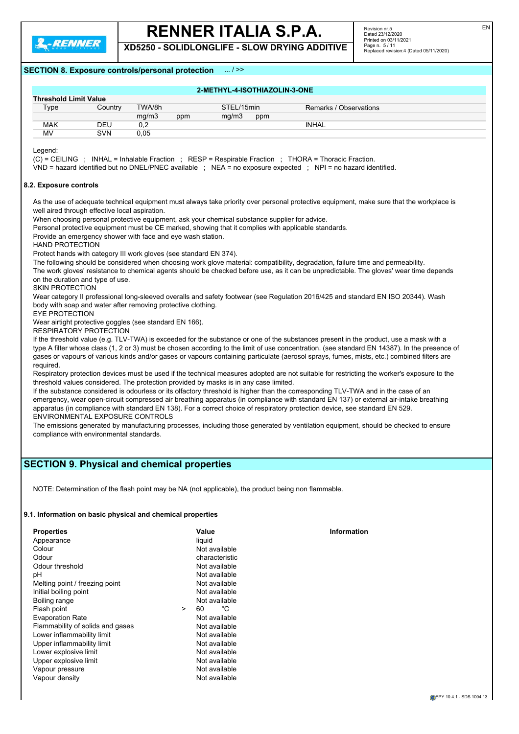**2.RENNER** 

## **RENNER ITALIA S.P.A.**

**XD5250 - SOLIDLONGLIFE - SLOW DRYING ADDITIVE**

### **SECTION 8. Exposure controls/personal protection** ... / >>

| 2-METHYL-4-ISOTHIAZOLIN-3-ONE |            |        |     |            |     |                        |  |
|-------------------------------|------------|--------|-----|------------|-----|------------------------|--|
| <b>Threshold Limit Value</b>  |            |        |     |            |     |                        |  |
| Type                          | Country    | TWA/8h |     | STEL/15min |     | Remarks / Observations |  |
|                               |            | mq/m3  | ppm | mq/m3      | ppm |                        |  |
| <b>MAK</b>                    | DEU        | 0,2    |     |            |     | <b>INHAL</b>           |  |
| MV                            | <b>SVN</b> | 0.05   |     |            |     |                        |  |

Legend:

(C) = CEILING ; INHAL = Inhalable Fraction ; RESP = Respirable Fraction ; THORA = Thoracic Fraction.

VND = hazard identified but no DNEL/PNEC available ; NEA = no exposure expected ; NPI = no hazard identified.

#### **8.2. Exposure controls**

As the use of adequate technical equipment must always take priority over personal protective equipment, make sure that the workplace is well aired through effective local aspiration.

When choosing personal protective equipment, ask your chemical substance supplier for advice.

Personal protective equipment must be CE marked, showing that it complies with applicable standards.

Provide an emergency shower with face and eye wash station.

HAND PROTECTION

Protect hands with category III work gloves (see standard EN 374).

The following should be considered when choosing work glove material: compatibility, degradation, failure time and permeability.

The work gloves' resistance to chemical agents should be checked before use, as it can be unpredictable. The gloves' wear time depends on the duration and type of use.

SKIN PROTECTION

Wear category II professional long-sleeved overalls and safety footwear (see Regulation 2016/425 and standard EN ISO 20344). Wash body with soap and water after removing protective clothing.

EYE PROTECTION

Wear airtight protective goggles (see standard EN 166).

RESPIRATORY PROTECTION

If the threshold value (e.g. TLV-TWA) is exceeded for the substance or one of the substances present in the product, use a mask with a type A filter whose class (1, 2 or 3) must be chosen according to the limit of use concentration. (see standard EN 14387). In the presence of gases or vapours of various kinds and/or gases or vapours containing particulate (aerosol sprays, fumes, mists, etc.) combined filters are required.

Respiratory protection devices must be used if the technical measures adopted are not suitable for restricting the worker's exposure to the threshold values considered. The protection provided by masks is in any case limited.

If the substance considered is odourless or its olfactory threshold is higher than the corresponding TLV-TWA and in the case of an emergency, wear open-circuit compressed air breathing apparatus (in compliance with standard EN 137) or external air-intake breathing apparatus (in compliance with standard EN 138). For a correct choice of respiratory protection device, see standard EN 529. ENVIRONMENTAL EXPOSURE CONTROLS

The emissions generated by manufacturing processes, including those generated by ventilation equipment, should be checked to ensure compliance with environmental standards.

## **SECTION 9. Physical and chemical properties**

NOTE: Determination of the flash point may be NA (not applicable), the product being non flammable.

#### **9.1. Information on basic physical and chemical properties**

| <b>Properties</b>                |        | Value          | Information |
|----------------------------------|--------|----------------|-------------|
| Appearance                       |        | liquid         |             |
| Colour                           |        | Not available  |             |
| Odour                            |        | characteristic |             |
| Odour threshold                  |        | Not available  |             |
| рH                               |        | Not available  |             |
| Melting point / freezing point   |        | Not available  |             |
| Initial boiling point            |        | Not available  |             |
| Boiling range                    |        | Not available  |             |
| Flash point                      | $\geq$ | 60<br>°C       |             |
| <b>Evaporation Rate</b>          |        | Not available  |             |
| Flammability of solids and gases |        | Not available  |             |
| Lower inflammability limit       |        | Not available  |             |
| Upper inflammability limit       |        | Not available  |             |
| Lower explosive limit            |        | Not available  |             |
| Upper explosive limit            |        | Not available  |             |
| Vapour pressure                  |        | Not available  |             |
| Vapour density                   |        | Not available  |             |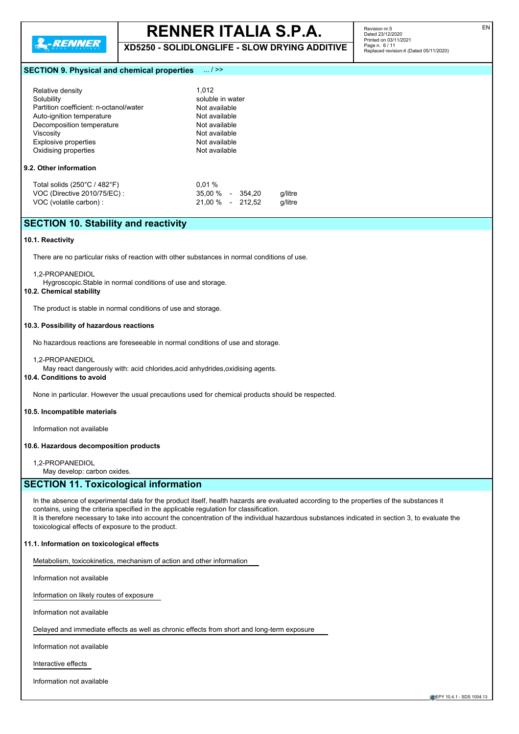

**XD5250 - SOLIDLONGLIFE - SLOW DRYING ADDITIVE**

Revision nr.5 Dated 23/12/2020 Printed on 03/11/2021 Page n. 6 / 11 Replaced revision:4 (Dated 05/11/2020)

#### **SECTION 9. Physical and chemical properties** ... / >>

| Relative density<br>Solubility<br>Partition coefficient: n-octanol/water<br>Auto-ignition temperature<br>Decomposition temperature | 1.012<br>soluble in water<br>Not available<br>Not available<br>Not available        |  |  |  |
|------------------------------------------------------------------------------------------------------------------------------------|-------------------------------------------------------------------------------------|--|--|--|
| Viscosity<br>Explosive properties<br>Oxidising properties<br>9.2. Other information                                                | Not available<br>Not available<br>Not available                                     |  |  |  |
| Total solids $(250^{\circ}C / 482^{\circ}F)$<br>VOC (Directive 2010/75/EC):<br>VOC (volatile carbon) :                             | 0.01%<br>$35.00\%$ -<br>354.20<br>g/litre<br>21.00 %<br>212.52<br>g/litre<br>$\sim$ |  |  |  |

### **SECTION 10. Stability and reactivity**

#### **10.1. Reactivity**

There are no particular risks of reaction with other substances in normal conditions of use.

#### 1,2-PROPANEDIOL

Hygroscopic.Stable in normal conditions of use and storage.

#### **10.2. Chemical stability**

The product is stable in normal conditions of use and storage.

#### **10.3. Possibility of hazardous reactions**

No hazardous reactions are foreseeable in normal conditions of use and storage.

#### 1,2-PROPANEDIOL

May react dangerously with: acid chlorides,acid anhydrides,oxidising agents.

### **10.4. Conditions to avoid**

None in particular. However the usual precautions used for chemical products should be respected.

#### **10.5. Incompatible materials**

Information not available

#### **10.6. Hazardous decomposition products**

1,2-PROPANEDIOL

May develop: carbon oxides.

#### **SECTION 11. Toxicological information**

In the absence of experimental data for the product itself, health hazards are evaluated according to the properties of the substances it contains, using the criteria specified in the applicable regulation for classification. It is therefore necessary to take into account the concentration of the individual hazardous substances indicated in section 3, to evaluate the toxicological effects of exposure to the product.

#### **11.1. Information on toxicological effects**

Metabolism, toxicokinetics, mechanism of action and other information

Information not available

Information on likely routes of exposure

Information not available

Delayed and immediate effects as well as chronic effects from short and long-term exposure

Information not available

Interactive effects

Information not available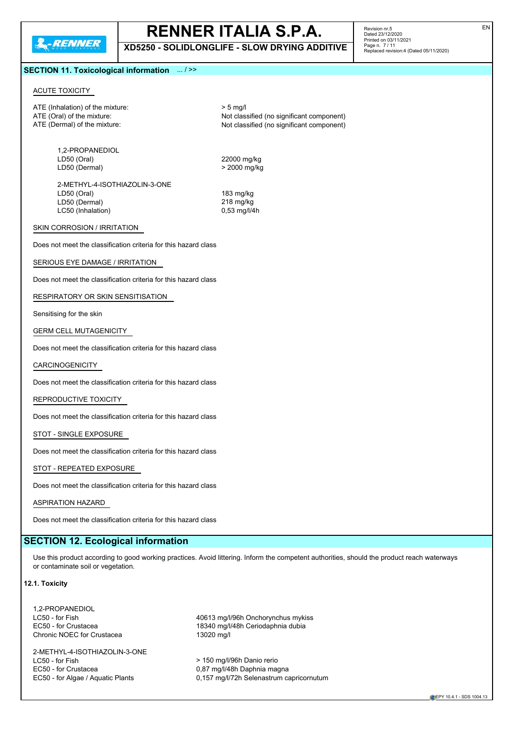**XD5250 - SOLIDLONGLIFE - SLOW DRYING ADDITIVE**

Revision nr.5 Dated 23/12/2020 Printed on 03/11/2021 Page n. 7 / 11 Replaced revision:4 (Dated 05/11/2020)

#### **SECTION 11. Toxicological information** ... / >>

#### ACUTE TOXICITY

ATE (Inhalation) of the mixture:  $> 5$  mg/l

1,2-PROPANEDIOL<br>LD50 (Oral) LD50 (Dermal)

ATE (Oral) of the mixture:  $\overline{A}$  ATE (Oral) of the mixture:  $\overline{A}$  ATE (Dermal) of the mixture:  $\overline{A}$  ATE (Dermal) of the mixture: Not classified (no significant component)

22000 mg/kg<br>> 2000 mg/kg

2-METHYL-4-ISOTHIAZOLIN-3-ONE LD50 (Oral) 183 mg/kg LD50 (Dermal) 218 mg/kg<br>
LC50 (Inhalation) 253 mg/l/4h LC50 (Inhalation)

#### SKIN CORROSION / IRRITATION

Does not meet the classification criteria for this hazard class

#### SERIOUS EYE DAMAGE / IRRITATION

Does not meet the classification criteria for this hazard class

RESPIRATORY OR SKIN SENSITISATION

Sensitising for the skin

#### GERM CELL MUTAGENICITY

Does not meet the classification criteria for this hazard class

#### CARCINOGENICITY

Does not meet the classification criteria for this hazard class

### REPRODUCTIVE TOXICITY

Does not meet the classification criteria for this hazard class

#### STOT - SINGLE EXPOSURE

Does not meet the classification criteria for this hazard class

#### STOT - REPEATED EXPOSURE

Does not meet the classification criteria for this hazard class

#### ASPIRATION HAZARD

Does not meet the classification criteria for this hazard class

## **SECTION 12. Ecological information**

Use this product according to good working practices. Avoid littering. Inform the competent authorities, should the product reach waterways or contaminate soil or vegetation.

### **12.1. Toxicity**

1,2-PROPANEDIOL Chronic NOEC for Crustacea 13020 mg/l

2-METHYL-4-ISOTHIAZOLIN-3-ONE LC50 - for Fish  $\frac{150 \text{ m}}{150 \text{ m}}$  > 150 mg/l/96h Danio rerio EC50 - for Crustacea **1988** CC50 - for Crustacea **1988** CC50 - for Crustacea

LC50 - for Fish 40613 mg/l/96h Onchorynchus mykiss<br>EC50 - for Crustacea 40613 mg/l/48h Ceriodaphnia dubia 18340 mg/l/48h Ceriodaphnia dubia

EC50 - for Algae / Aquatic Plants 0,157 mg/l/72h Selenastrum capricornutum

**EPY 10.4.1 - SDS 1004.13**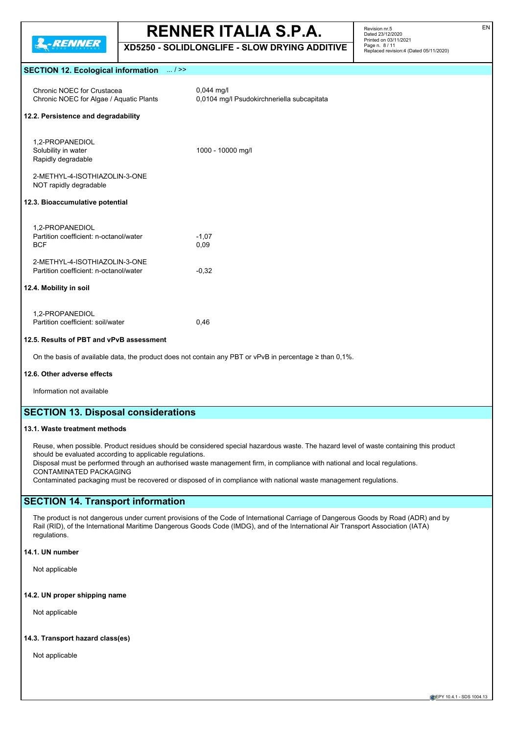

**XD5250 - SOLIDLONGLIFE - SLOW DRYING ADDITIVE**

Revision nr.5 Dated 23/12/2020 Printed on 03/11/2021 Page n. 8 / 11 Replaced revision:4 (Dated 05/11/2020)

#### **SECTION 12. Ecological information** ... / >>

| Chronic NOEC for Crustacea<br>Chronic NOEC for Algae / Aquatic Plants                                                   | $0,044$ mg/l<br>0,0104 mg/l Psudokirchneriella subcapitata |  |  |  |
|-------------------------------------------------------------------------------------------------------------------------|------------------------------------------------------------|--|--|--|
| 12.2. Persistence and degradability                                                                                     |                                                            |  |  |  |
| 1,2-PROPANEDIOL<br>Solubility in water<br>Rapidly degradable<br>2-METHYL-4-ISOTHIAZOLIN-3-ONE<br>NOT rapidly degradable | 1000 - 10000 mg/l                                          |  |  |  |
| 12.3. Bioaccumulative potential                                                                                         |                                                            |  |  |  |
| 1.2-PROPANEDIOL<br>Partition coefficient: n-octanol/water<br><b>BCF</b>                                                 | $-1.07$<br>0,09                                            |  |  |  |
| 2-METHYL-4-ISOTHIAZOLIN-3-ONE<br>Partition coefficient: n-octanol/water                                                 | $-0.32$                                                    |  |  |  |
| 12.4. Mobility in soil                                                                                                  |                                                            |  |  |  |
| 1.2-PROPANEDIOL<br>Partition coefficient: soil/water                                                                    | 0,46                                                       |  |  |  |
| 12.5. Results of PBT and vPvB assessment                                                                                |                                                            |  |  |  |
| On the basis of available data, the product does not contain any PBT or vPvB in percentage $\geq$ than 0,1%.            |                                                            |  |  |  |

#### **12.6. Other adverse effects**

Information not available

### **SECTION 13. Disposal considerations**

#### **13.1. Waste treatment methods**

Reuse, when possible. Product residues should be considered special hazardous waste. The hazard level of waste containing this product should be evaluated according to applicable regulations.

Disposal must be performed through an authorised waste management firm, in compliance with national and local regulations. CONTAMINATED PACKAGING

Contaminated packaging must be recovered or disposed of in compliance with national waste management regulations.

### **SECTION 14. Transport information**

The product is not dangerous under current provisions of the Code of International Carriage of Dangerous Goods by Road (ADR) and by Rail (RID), of the International Maritime Dangerous Goods Code (IMDG), and of the International Air Transport Association (IATA) regulations.

#### **14.1. UN number**

Not applicable

#### **14.2. UN proper shipping name**

Not applicable

#### **14.3. Transport hazard class(es)**

Not applicable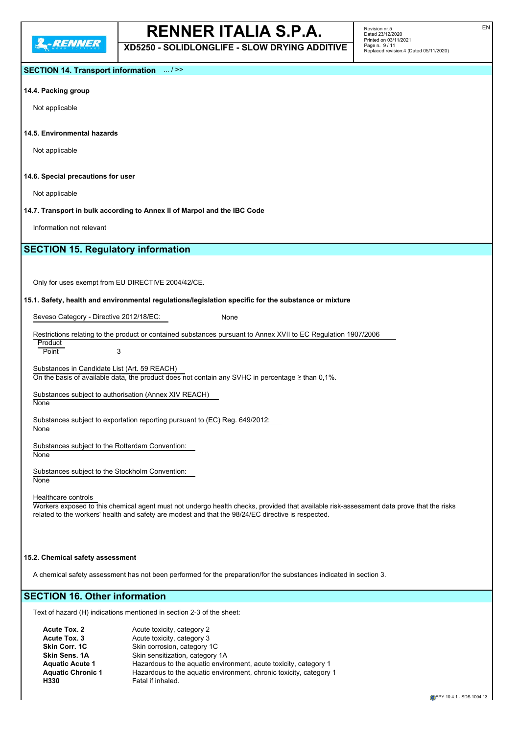**XD5250 - SOLIDLONGLIFE - SLOW DRYING ADDITIVE**

### **SECTION 14. Transport information** ... / >>

#### **14.4. Packing group**

Not applicable

#### **14.5. Environmental hazards**

Not applicable

#### **14.6. Special precautions for user**

Not applicable

**14.7. Transport in bulk according to Annex II of Marpol and the IBC Code**

Information not relevant

## **SECTION 15. Regulatory information**

Only for uses exempt from EU DIRECTIVE 2004/42/CE.

#### **15.1. Safety, health and environmental regulations/legislation specific for the substance or mixture**

Seveso Category - Directive 2012/18/EC: None

**Product** Point 3

Substances in Candidate List (Art. 59 REACH) On the basis of available data, the product does not contain any SVHC in percentage  $\geq$  than 0,1%.

Substances subject to authorisation (Annex XIV REACH) None

Substances subject to exportation reporting pursuant to (EC) Reg. 649/2012:

None

Substances subject to the Rotterdam Convention: **None** 

Substances subject to the Stockholm Convention: **None** 

Healthcare controls

Workers exposed to this chemical agent must not undergo health checks, provided that available risk-assessment data prove that the risks related to the workers' health and safety are modest and that the 98/24/EC directive is respected.

#### **15.2. Chemical safety assessment**

A chemical safety assessment has not been performed for the preparation/for the substances indicated in section 3.

## **SECTION 16. Other information**

Text of hazard (H) indications mentioned in section 2-3 of the sheet:

| Acute toxicity, category 2                                         |
|--------------------------------------------------------------------|
| Acute toxicity, category 3                                         |
| Skin corrosion, category 1C                                        |
| Skin sensitization, category 1A                                    |
| Hazardous to the aquatic environment, acute toxicity, category 1   |
| Hazardous to the aquatic environment, chronic toxicity, category 1 |
| Fatal if inhaled.                                                  |
|                                                                    |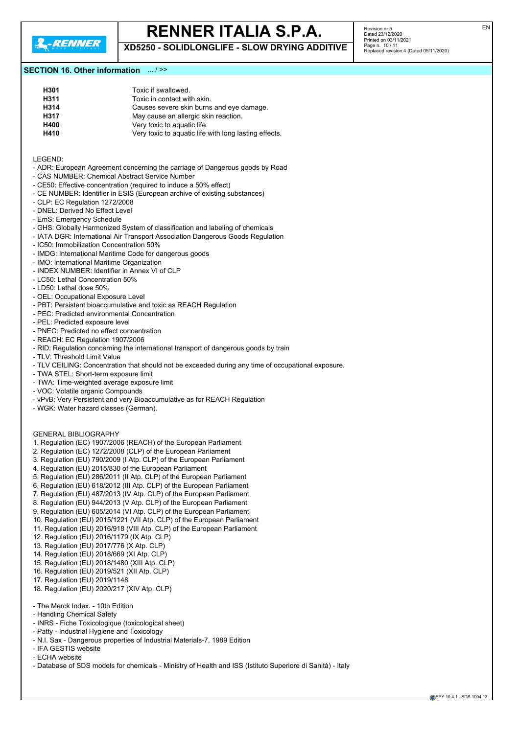

**XD5250 - SOLIDLONGLIFE - SLOW DRYING ADDITIVE**

Revision nr.5 Dated 23/12/2020 Printed on 03/11/2021 Page n. 10 / 11 Replaced revision:4 (Dated 05/11/2020)

#### **SECTION 16. Other information** ... / >>

| H301 | Toxic if swallowed.                                   |
|------|-------------------------------------------------------|
| H311 | Toxic in contact with skin.                           |
| H314 | Causes severe skin burns and eye damage.              |
| H317 | May cause an allergic skin reaction.                  |
| H400 | Very toxic to aquatic life.                           |
| H410 | Very toxic to aquatic life with long lasting effects. |

LEGEND:

- ADR: European Agreement concerning the carriage of Dangerous goods by Road
- CAS NUMBER: Chemical Abstract Service Number
- CE50: Effective concentration (required to induce a 50% effect)
- CE NUMBER: Identifier in ESIS (European archive of existing substances)
- CLP: EC Regulation 1272/2008
- DNEL: Derived No Effect Level
- EmS: Emergency Schedule
- GHS: Globally Harmonized System of classification and labeling of chemicals
- IATA DGR: International Air Transport Association Dangerous Goods Regulation
- IC50: Immobilization Concentration 50%
- IMDG: International Maritime Code for dangerous goods
- IMO: International Maritime Organization
- INDEX NUMBER: Identifier in Annex VI of CLP
- LC50: Lethal Concentration 50%
- LD50: Lethal dose 50%
- OEL: Occupational Exposure Level
- PBT: Persistent bioaccumulative and toxic as REACH Regulation
- PEC: Predicted environmental Concentration
- PEL: Predicted exposure level
- PNEC: Predicted no effect concentration
- REACH: EC Regulation 1907/2006
- RID: Regulation concerning the international transport of dangerous goods by train
- TLV: Threshold Limit Value
- TLV CEILING: Concentration that should not be exceeded during any time of occupational exposure.
- TWA STEL: Short-term exposure limit
- TWA: Time-weighted average exposure limit
- VOC: Volatile organic Compounds
- vPvB: Very Persistent and very Bioaccumulative as for REACH Regulation
- WGK: Water hazard classes (German).

#### GENERAL BIBLIOGRAPHY

- 1. Regulation (EC) 1907/2006 (REACH) of the European Parliament
- 2. Regulation (EC) 1272/2008 (CLP) of the European Parliament
- 3. Regulation (EU) 790/2009 (I Atp. CLP) of the European Parliament
- 4. Regulation (EU) 2015/830 of the European Parliament
- 5. Regulation (EU) 286/2011 (II Atp. CLP) of the European Parliament
- 6. Regulation (EU) 618/2012 (III Atp. CLP) of the European Parliament
- 7. Regulation (EU) 487/2013 (IV Atp. CLP) of the European Parliament
- 8. Regulation (EU) 944/2013 (V Atp. CLP) of the European Parliament
- 9. Regulation (EU) 605/2014 (VI Atp. CLP) of the European Parliament
- 10. Regulation (EU) 2015/1221 (VII Atp. CLP) of the European Parliament
- 11. Regulation (EU) 2016/918 (VIII Atp. CLP) of the European Parliament
- 12. Regulation (EU) 2016/1179 (IX Atp. CLP)
- 13. Regulation (EU) 2017/776 (X Atp. CLP)
- 14. Regulation (EU) 2018/669 (XI Atp. CLP)
- 15. Regulation (EU) 2018/1480 (XIII Atp. CLP)
- 16. Regulation (EU) 2019/521 (XII Atp. CLP)
- 17. Regulation (EU) 2019/1148
- 
- 18. Regulation (EU) 2020/217 (XIV Atp. CLP)
- The Merck Index. 10th Edition
- Handling Chemical Safety
- INRS Fiche Toxicologique (toxicological sheet)
- Patty Industrial Hygiene and Toxicology
- N.I. Sax Dangerous properties of Industrial Materials-7, 1989 Edition
- IFA GESTIS website
- ECHA website
- Database of SDS models for chemicals Ministry of Health and ISS (Istituto Superiore di Sanità) Italy